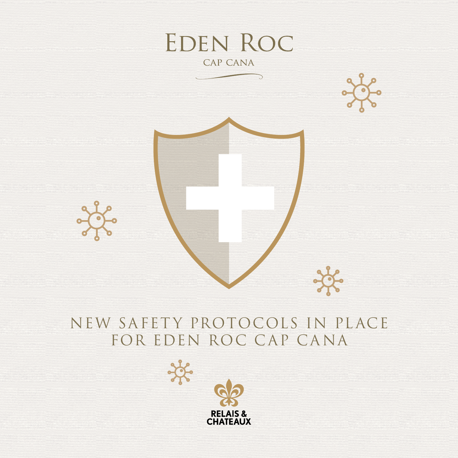



类



#### NEW SAFETY PROTOCOLS IN PLACE FOR EDEN ROC CAP CANA

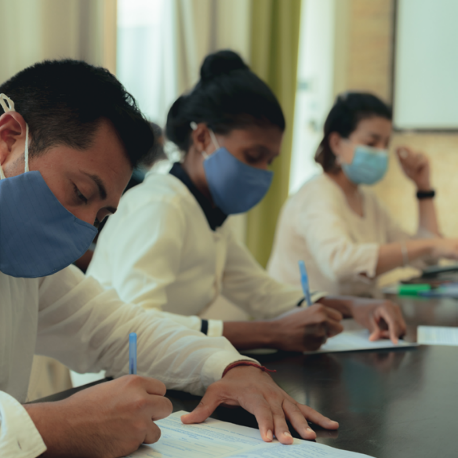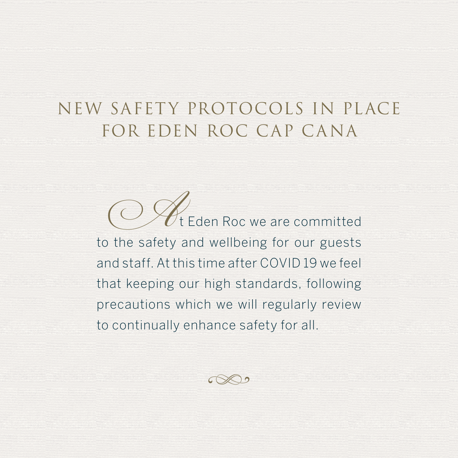#### NEW SAFETY PROTOCOLS IN PLACE FOR EDEN ROC CAP CANA

 At Eden Roc we are committed to the safety and wellbeing for our guests and staff. At this time after COVID 19 we feel that keeping our high standards, following precautions which we will regularly review to continually enhance safety for all.

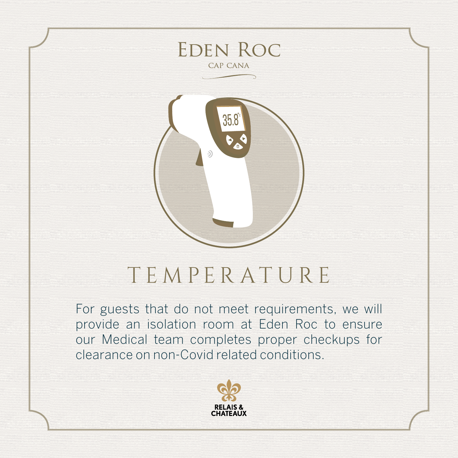



#### TEMPERATURE

For guests that do not meet requirements, we will provide an isolation room at Eden Roc to ensure our Medical team completes proper checkups for clearance on non-Covid related conditions.

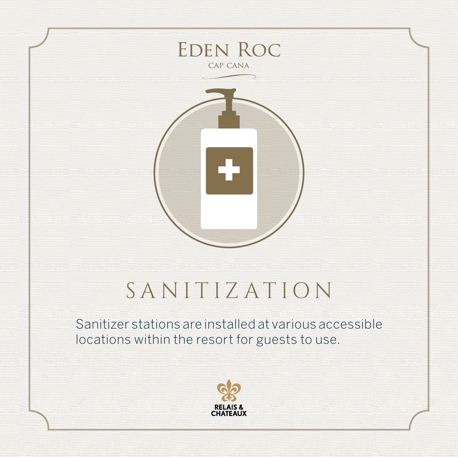



# SANITIZATION

Sanitizer stations are installed at various accessible locations within the resort for guests to use.

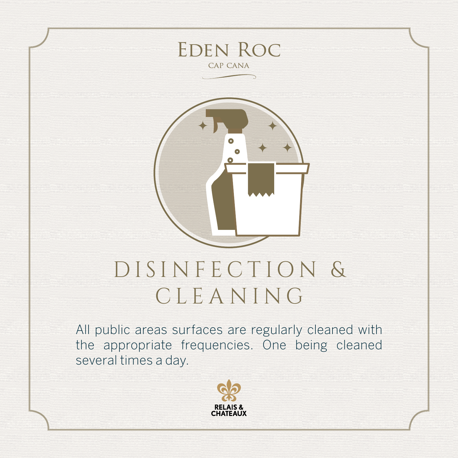



# DISINFECTION & CLEANING

All public areas surfaces are regularly cleaned with the appropriate frequencies. One being cleaned several times a day.

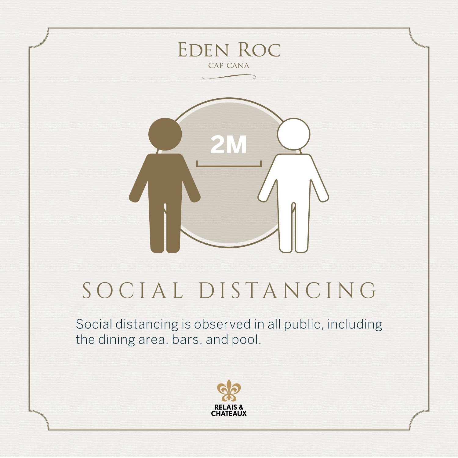



# SOCIAL DISTANCING

Social distancing is observed in all public, including the dining area, bars, and pool.

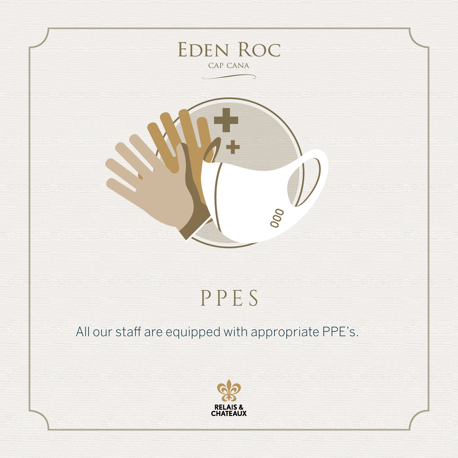



### PPES

#### All our staff are equipped with appropriate PPE's.

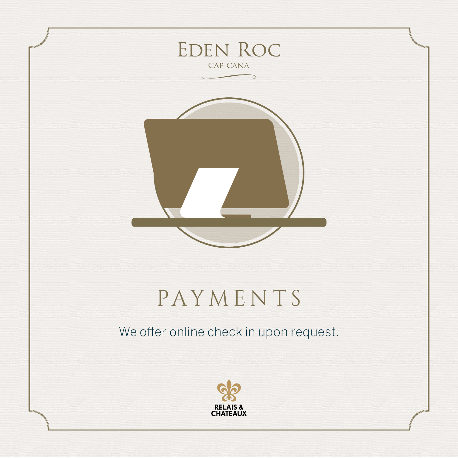



#### PAYMENTS

We offer online check in upon request.

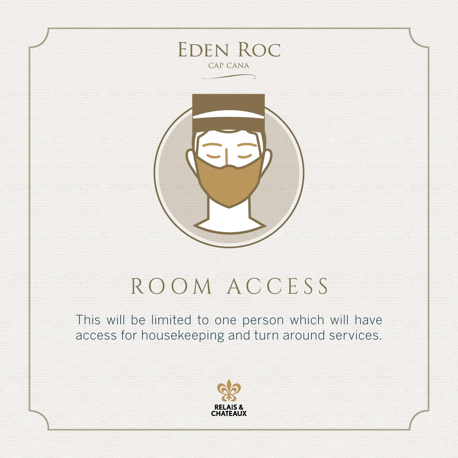



### ROOM ACCESS

This will be limited to one person which will have access for housekeeping and turn around services.

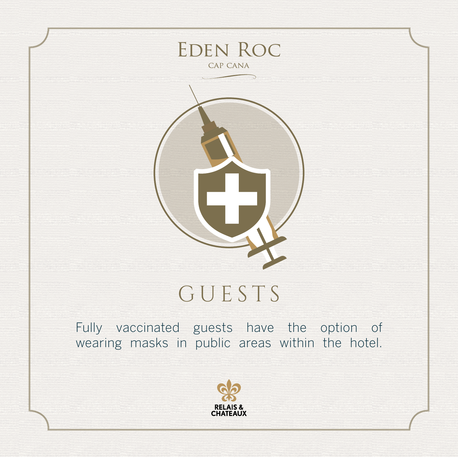



#### GUESTS

Fully vaccinated guests have the option of wearing masks in public areas within the hotel.

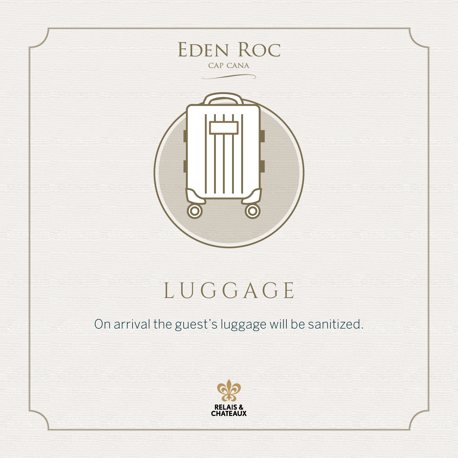



### LUGGAGE

#### On arrival the guest's luggage will be sanitized.

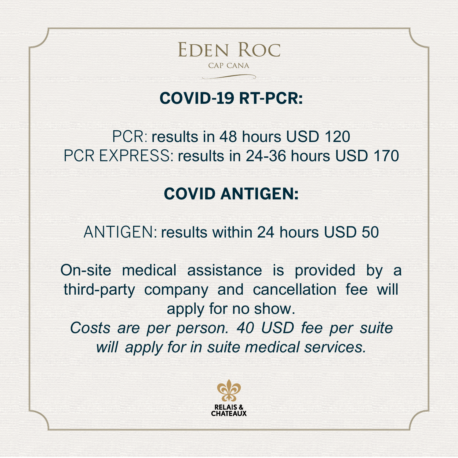

#### **COVID-19 RT-PCR:**

PCR: results in 48 hours USD 120 PCR EXPRESS: results in 24-36 hours USD 170

#### **COVID ANTIGEN:**

ANTIGEN: results within 24 hours USD 50

On-site medical assistance is provided by a third-party company and cancellation fee will apply for no show.

*Costs are per person. 40 USD fee per suite will apply for in suite medical services.*